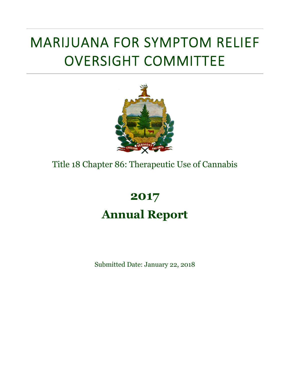# MARIJUANA FOR SYMPTOM RELIEF OVERSIGHT COMMITTEE



### Title 18 Chapter 86: Therapeutic Use of Cannabis

## **2017 Annual Report**

Submitted Date: January 22, 2018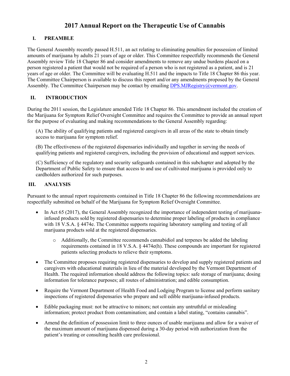#### **2017 Annual Report on the Therapeutic Use of Cannabis**

#### **I. PREAMBLE**

The General Assembly recently passed H.511, an act relating to eliminating penalties for possession of limited amounts of marijuana by adults 21 years of age or older. This Committee respectfully recommends the General Assembly review Title 18 Chapter 86 and consider amendments to remove any undue burdens placed on a person registered a patient that would not be required of a person who is not registered as a patient, and is 21 years of age or older. The Committee will be evaluating H.511 and the impacts to Title 18 Chapter 86 this year. The Committee Chairperson is available to discuss this report and/or any amendments proposed by the General Assembly. The Committee Chairperson may be contact by emailing  $DPS.MJRegistry@vermont.gov$ .

#### **II. INTRODUCTION**

During the 2011 session, the Legislature amended Title 18 Chapter 86. This amendment included the creation of the Marijuana for Symptom Relief Oversight Committee and requires the Committee to provide an annual report for the purpose of evaluating and making recommendations to the General Assembly regarding:

(A) The ability of qualifying patients and registered caregivers in all areas of the state to obtain timely access to marijuana for symptom relief.

(B) The effectiveness of the registered dispensaries individually and together in serving the needs of qualifying patients and registered caregivers, including the provision of educational and support services.

(C) Sufficiency of the regulatory and security safeguards contained in this subchapter and adopted by the Department of Public Safety to ensure that access to and use of cultivated marijuana is provided only to cardholders authorized for such purposes.

#### **III. ANALYSIS**

Pursuant to the annual report requirements contained in Title 18 Chapter 86 the following recommendations are respectfully submitted on behalf of the Marijuana for Symptom Relief Oversight Committee.

- In Act 65 (2017), the General Assembly recognized the importance of independent testing of marijuanainfused products sold by registered dispensaries to determine proper labeling of products in compliance with 18 V.S.A. § 4474e. The Committee supports requiring laboratory sampling and testing of all marijuana products sold at the registered dispensaries.
	- o Additionally, the Committee recommends cannabidiol and terpenes be added the labeling requirements contained in 18 V.S.A. § 4474e(h). These compounds are important for registered patients selecting products to relieve their symptoms.
- The Committee proposes requiring registered dispensaries to develop and supply registered patients and caregivers with educational materials in lieu of the material developed by the Vermont Department of Health. The required information should address the following topics: safe storage of marijuana; dosing information for tolerance purposes; all routes of administration; and edible consumption.
- Require the Vermont Department of Health Food and Lodging Program to license and perform sanitary inspections of registered dispensaries who prepare and sell edible marijuana-infused products.
- Edible packaging must: not be attractive to minors; not contain any untruthful or misleading information; protect product from contamination; and contain a label stating, "contains cannabis".
- Amend the definition of possession limit to three ounces of usable marijuana and allow for a waiver of the maximum amount of marijuana dispensed during a 30-day period with authorization from the patient's treating or consulting health care professional.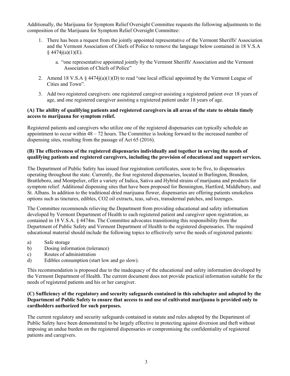Additionally, the Marijuana for Symptom Relief Oversight Committee requests the following adjustments to the composition of the Marijuana for Symptom Relief Oversight Committee:

- 1. There has been a request from the jointly appointed representative of the Vermont Sheriffs' Association and the Vermont Association of Chiefs of Police to remove the language below contained in 18 V.S.A  $§$  4474 $j(a)(1)(E)$ .
	- a. "one representative appointed jointly by the Vermont Sheriffs' Association and the Vermont Association of Chiefs of Police"
- 2. Amend 18 V.S.A § 4474j(a)(1)(D) to read "one local official appointed by the Vermont League of Cities and Town".
- 3. Add two registered caregivers: one registered caregiver assisting a registered patient over 18 years of age, and one registered caregiver assisting a registered patient under 18 years of age.

#### **(A) The ability of qualifying patients and registered caregivers in all areas of the state to obtain timely access to marijuana for symptom relief.**

Registered patients and caregivers who utilize one of the registered dispensaries can typically schedule an appointment to occur within 48 – 72 hours. The Committee is looking forward to the increased number of dispensing sites, resulting from the passage of Act 65 (2016).

#### **(B) The effectiveness of the registered dispensaries individually and together in serving the needs of qualifying patients and registered caregivers, including the provision of educational and support services.**

The Department of Public Safety has issued four registration certificates, soon to be five, to dispensaries operating throughout the state. Currently, the four registered dispensaries, located in Burlington, Brandon, Brattleboro, and Montpelier, offer a variety of Indica, Sativa and Hybrid strains of marijuana and products for symptom relief. Additional dispensing sites that have been proposed for Bennington, Hartford, Middlebury, and St. Albans. In addition to the traditional dried marijuana flower, dispensaries are offering patients smokeless options such as tinctures, edibles, CO2 oil extracts, teas, salves, transdermal patches, and lozenges.

The Committee recommends relieving the Department from providing educational and safety information developed by Vermont Department of Health to each registered patient and caregiver upon registration, as contained in 18 V.S.A. § 4474m. The Committee advocates transitioning this responsibility from the Department of Public Safety and Vermont Department of Health to the registered dispensaries. The required educational material should include the following topics to effectively serve the needs of registered patients:

- a) Safe storage
- b) Dosing information (tolerance)
- c) Routes of administration
- d) Edibles consumption (start low and go slow).

This recommendation is proposed due to the inadequacy of the educational and safety information developed by the Vermont Department of Health. The current document does not provide practical information suitable for the needs of registered patients and his or her caregiver.

#### **(C) Sufficiency of the regulatory and security safeguards contained in this subchapter and adopted by the Department of Public Safety to ensure that access to and use of cultivated marijuana is provided only to cardholders authorized for such purposes.**

The current regulatory and security safeguards contained in statute and rules adopted by the Department of Public Safety have been demonstrated to be largely effective in protecting against diversion and theft without imposing an undue burden on the registered dispensaries or compromising the confidentiality of registered patients and caregivers.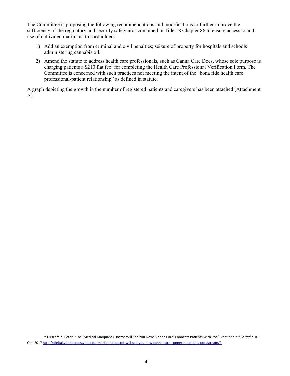The Committee is proposing the following recommendations and modifications to further improve the sufficiency of the regulatory and security safeguards contained in Title 18 Chapter 86 to ensure access to and use of cultivated marijuana to cardholders:

- 1) Add an exemption from criminal and civil penalties; seizure of property for hospitals and schools administering cannabis oil.
- 2) Amend the statute to address health care professionals, such as Canna Care Docs, whose sole purpose is charging patients a \$210 flat fee<sup>1</sup> for completing the Health Care Professional Verification Form. The Committee is concerned with such practices not meeting the intent of the "bona fide health care professional-patient relationship" as defined in statute.

A graph depicting the growth in the number of registered patients and caregivers has been attached (Attachment A).

<sup>1</sup> Hirschfeld, Peter. "The (Medical Marijuana) Doctor Will See You Now: 'Canna Care' Connects Patients With Pot." *Vermont Public Radio* 10 Oct. 2017 http://digital.vpr.net/post/medical-marijuana-doctor-will-see-you-now-canna-care-connects-patients-pot#stream/0